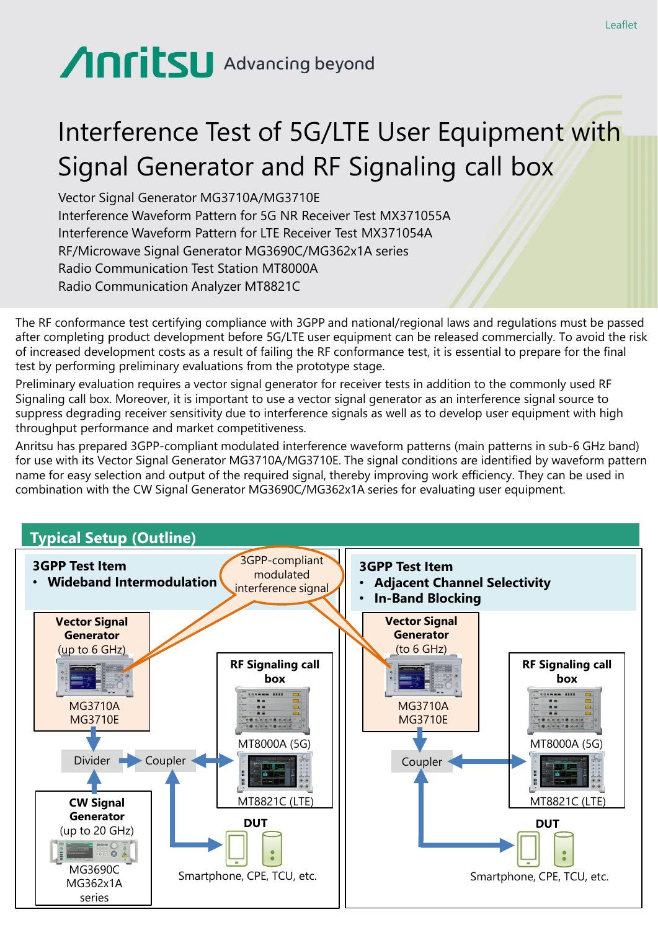# Anritsu Advancing beyond

## Interference Test of 5G/LTE User Equipment with Signal Generator and RF Signaling call box

Vector Signal Generator MG3710A/MG3710E Interference Waveform Pattern for 5G NR Receiver Test MX371055A Interference Waveform Pattern for LTE Receiver Test MX371054A RF/Microwave Signal Generator MG3690C/MG362x1A series Radio Communication Test Station MT8000A Radio Communication Analyzer MT8821C

The RF conformance test certifying compliance with 3GPP and national/regional laws and regulations must be passed after completing product development before 5G/LTE user equipment can be released commercially. To avoid the risk of increased development costs as a result of failing the RF conformance test, it is essential to prepare for the final test by performing preliminary evaluations from the prototype stage.

Preliminary evaluation requires a vector signal generator for receiver tests in addition to the commonly used RF Signaling call box. Moreover, it is important to use a vector signal generator as an interference signal source to suppress degrading receiver sensitivity due to interference signals as well as to develop user equipment with high throughput performance and market competitiveness.

Anritsu has prepared 3GPP-compliant modulated interference waveform patterns (main patterns in sub-6 GHz band) for use with its Vector Signal Generator MG3710A/MG3710E. The signal conditions are identified by waveform pattern name for easy selection and output of the required signal, thereby improving work efficiency. They can be used in combination with the CW Signal Generator MG3690C/MG362x1A series for evaluating user equipment.